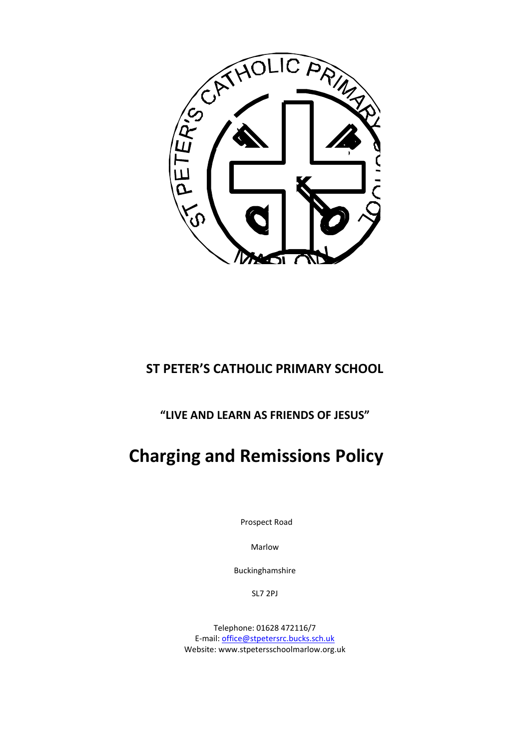

# **ST PETER'S CATHOLIC PRIMARY SCHOOL**

**"LIVE AND LEARN AS FRIENDS OF JESUS"**

# **Charging and Remissions Policy**

Prospect Road

Marlow

Buckinghamshire

SL7 2PJ

Telephone: 01628 472116/7 E-mail[: office@stpetersrc.bucks.sch.uk](mailto:office@stpetersrc.bucks.sch.uk) Website: www.stpetersschoolmarlow.org.uk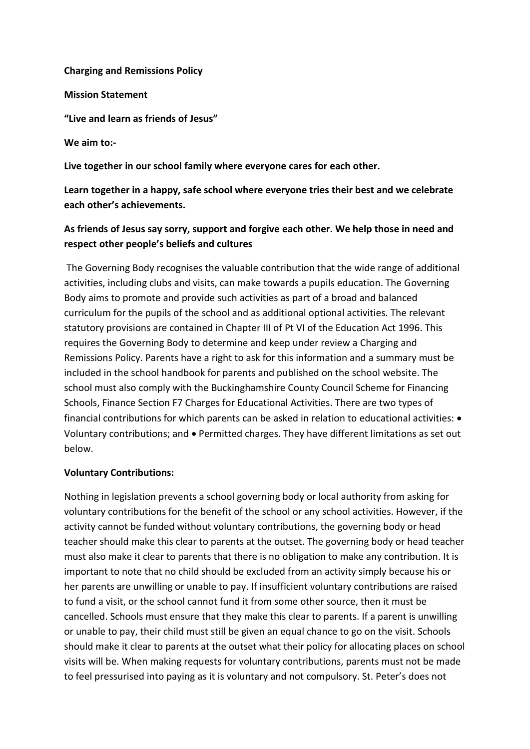### **Charging and Remissions Policy**

**Mission Statement** 

**"Live and learn as friends of Jesus"**

**We aim to:-**

**Live together in our school family where everyone cares for each other.**

**Learn together in a happy, safe school where everyone tries their best and we celebrate each other's achievements.**

# **As friends of Jesus say sorry, support and forgive each other. We help those in need and respect other people's beliefs and cultures**

The Governing Body recognises the valuable contribution that the wide range of additional activities, including clubs and visits, can make towards a pupils education. The Governing Body aims to promote and provide such activities as part of a broad and balanced curriculum for the pupils of the school and as additional optional activities. The relevant statutory provisions are contained in Chapter III of Pt VI of the Education Act 1996. This requires the Governing Body to determine and keep under review a Charging and Remissions Policy. Parents have a right to ask for this information and a summary must be included in the school handbook for parents and published on the school website. The school must also comply with the Buckinghamshire County Council Scheme for Financing Schools, Finance Section F7 Charges for Educational Activities. There are two types of financial contributions for which parents can be asked in relation to educational activities:  $\bullet$ Voluntary contributions; and • Permitted charges. They have different limitations as set out below.

## **Voluntary Contributions:**

Nothing in legislation prevents a school governing body or local authority from asking for voluntary contributions for the benefit of the school or any school activities. However, if the activity cannot be funded without voluntary contributions, the governing body or head teacher should make this clear to parents at the outset. The governing body or head teacher must also make it clear to parents that there is no obligation to make any contribution. It is important to note that no child should be excluded from an activity simply because his or her parents are unwilling or unable to pay. If insufficient voluntary contributions are raised to fund a visit, or the school cannot fund it from some other source, then it must be cancelled. Schools must ensure that they make this clear to parents. If a parent is unwilling or unable to pay, their child must still be given an equal chance to go on the visit. Schools should make it clear to parents at the outset what their policy for allocating places on school visits will be. When making requests for voluntary contributions, parents must not be made to feel pressurised into paying as it is voluntary and not compulsory. St. Peter's does not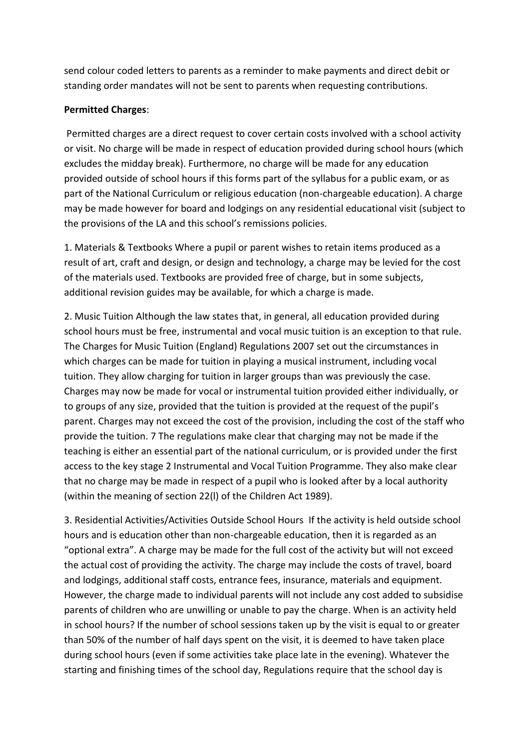send colour coded letters to parents as a reminder to make payments and direct debit or standing order mandates will not be sent to parents when requesting contributions.

#### **Permitted Charges**:

Permitted charges are a direct request to cover certain costs involved with a school activity or visit. No charge will be made in respect of education provided during school hours (which excludes the midday break). Furthermore, no charge will be made for any education provided outside of school hours if this forms part of the syllabus for a public exam, or as part of the National Curriculum or religious education (non-chargeable education). A charge may be made however for board and lodgings on any residential educational visit (subject to the provisions of the LA and this school's remissions policies.

1. Materials & Textbooks Where a pupil or parent wishes to retain items produced as a result of art, craft and design, or design and technology, a charge may be levied for the cost of the materials used. Textbooks are provided free of charge, but in some subjects, additional revision guides may be available, for which a charge is made.

2. Music Tuition Although the law states that, in general, all education provided during school hours must be free, instrumental and vocal music tuition is an exception to that rule. The Charges for Music Tuition (England) Regulations 2007 set out the circumstances in which charges can be made for tuition in playing a musical instrument, including vocal tuition. They allow charging for tuition in larger groups than was previously the case. Charges may now be made for vocal or instrumental tuition provided either individually, or to groups of any size, provided that the tuition is provided at the request of the pupil's parent. Charges may not exceed the cost of the provision, including the cost of the staff who provide the tuition. 7 The regulations make clear that charging may not be made if the teaching is either an essential part of the national curriculum, or is provided under the first access to the key stage 2 Instrumental and Vocal Tuition Programme. They also make clear that no charge may be made in respect of a pupil who is looked after by a local authority (within the meaning of section 22(l) of the Children Act 1989).

3. Residential Activities/Activities Outside School Hours If the activity is held outside school hours and is education other than non-chargeable education, then it is regarded as an "optional extra". A charge may be made for the full cost of the activity but will not exceed the actual cost of providing the activity. The charge may include the costs of travel, board and lodgings, additional staff costs, entrance fees, insurance, materials and equipment. However, the charge made to individual parents will not include any cost added to subsidise parents of children who are unwilling or unable to pay the charge. When is an activity held in school hours? If the number of school sessions taken up by the visit is equal to or greater than 50% of the number of half days spent on the visit, it is deemed to have taken place during school hours (even if some activities take place late in the evening). Whatever the starting and finishing times of the school day, Regulations require that the school day is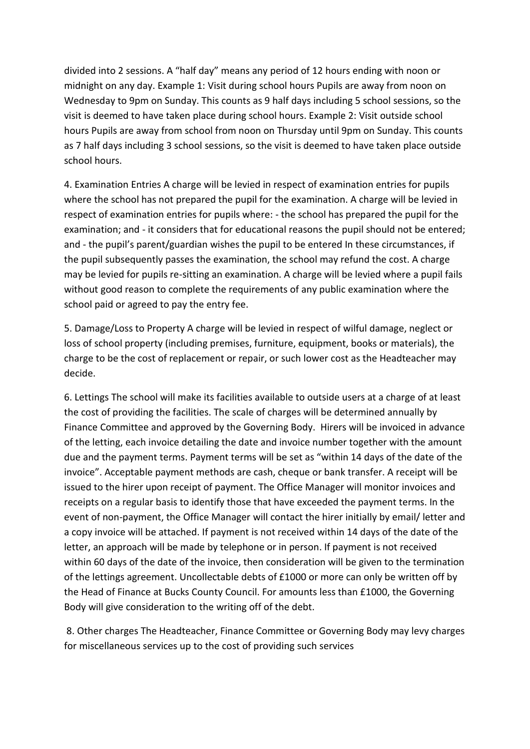divided into 2 sessions. A "half day" means any period of 12 hours ending with noon or midnight on any day. Example 1: Visit during school hours Pupils are away from noon on Wednesday to 9pm on Sunday. This counts as 9 half days including 5 school sessions, so the visit is deemed to have taken place during school hours. Example 2: Visit outside school hours Pupils are away from school from noon on Thursday until 9pm on Sunday. This counts as 7 half days including 3 school sessions, so the visit is deemed to have taken place outside school hours.

4. Examination Entries A charge will be levied in respect of examination entries for pupils where the school has not prepared the pupil for the examination. A charge will be levied in respect of examination entries for pupils where: - the school has prepared the pupil for the examination; and - it considers that for educational reasons the pupil should not be entered; and - the pupil's parent/guardian wishes the pupil to be entered In these circumstances, if the pupil subsequently passes the examination, the school may refund the cost. A charge may be levied for pupils re-sitting an examination. A charge will be levied where a pupil fails without good reason to complete the requirements of any public examination where the school paid or agreed to pay the entry fee.

5. Damage/Loss to Property A charge will be levied in respect of wilful damage, neglect or loss of school property (including premises, furniture, equipment, books or materials), the charge to be the cost of replacement or repair, or such lower cost as the Headteacher may decide.

6. Lettings The school will make its facilities available to outside users at a charge of at least the cost of providing the facilities. The scale of charges will be determined annually by Finance Committee and approved by the Governing Body. Hirers will be invoiced in advance of the letting, each invoice detailing the date and invoice number together with the amount due and the payment terms. Payment terms will be set as "within 14 days of the date of the invoice". Acceptable payment methods are cash, cheque or bank transfer. A receipt will be issued to the hirer upon receipt of payment. The Office Manager will monitor invoices and receipts on a regular basis to identify those that have exceeded the payment terms. In the event of non-payment, the Office Manager will contact the hirer initially by email/ letter and a copy invoice will be attached. If payment is not received within 14 days of the date of the letter, an approach will be made by telephone or in person. If payment is not received within 60 days of the date of the invoice, then consideration will be given to the termination of the lettings agreement. Uncollectable debts of £1000 or more can only be written off by the Head of Finance at Bucks County Council. For amounts less than £1000, the Governing Body will give consideration to the writing off of the debt.

8. Other charges The Headteacher, Finance Committee or Governing Body may levy charges for miscellaneous services up to the cost of providing such services